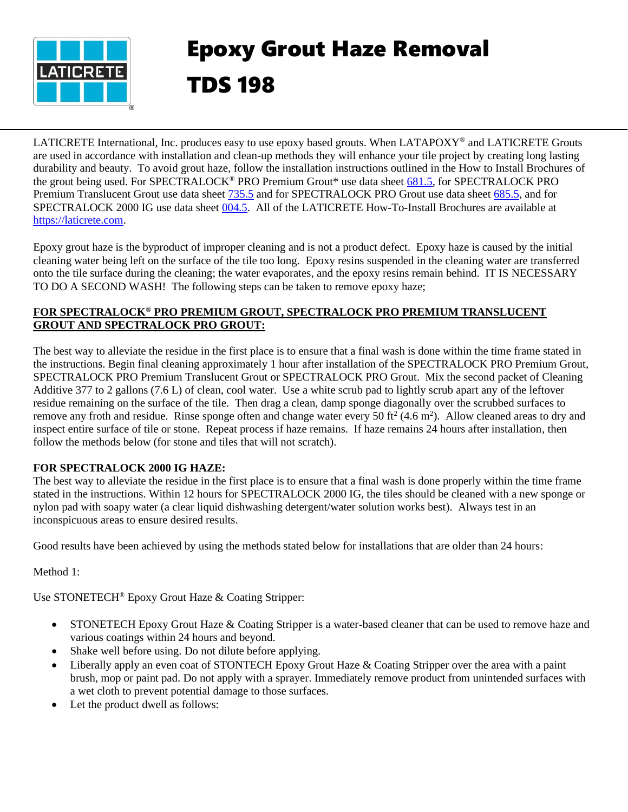

## Epoxy Grout Haze Removal TDS 198

LATICRETE International, Inc. produces easy to use epoxy based grouts. When LATAPOXY® and LATICRETE Grouts are used in accordance with installation and clean-up methods they will enhance your tile project by creating long lasting durability and beauty. To avoid grout haze, follow the installation instructions outlined in the How to Install Brochures of the grout being used. For SPECTRALOCK® PRO Premium Grout\* use data sheet [681.5,](https://cdn.laticrete.com/~/media/product-documents/installation-information/ds-6815.ashx) for SPECTRALOCK PRO Premium Translucent Grout use data sheet [735.5](https://cdn.laticrete.com/~/media/product-documents/installation-information/ds-7355-spectralock-pro-premium-translucent-installation-instructions.ashx) and for SPECTRALOCK PRO Grout use data sheet [685.5,](https://cdn.laticrete.com/~/media/product-documents/installation-information/ds6855.ashx) and for SPECTRALOCK 2000 IG use data sheet [004.5.](https://cdn.laticrete.com/~/media/product-documents/installation-information/ds-0045-0712_sl-2000.ashx) All of the LATICRETE How-To-Install Brochures are available at [https://laticrete.com.](https://laticrete.com/)

Epoxy grout haze is the byproduct of improper cleaning and is not a product defect. Epoxy haze is caused by the initial cleaning water being left on the surface of the tile too long. Epoxy resins suspended in the cleaning water are transferred onto the tile surface during the cleaning; the water evaporates, and the epoxy resins remain behind. IT IS NECESSARY TO DO A SECOND WASH! The following steps can be taken to remove epoxy haze;

## **FOR SPECTRALOCK® PRO PREMIUM GROUT, SPECTRALOCK PRO PREMIUM TRANSLUCENT GROUT AND SPECTRALOCK PRO GROUT:**

The best way to alleviate the residue in the first place is to ensure that a final wash is done within the time frame stated in the instructions. Begin final cleaning approximately 1 hour after installation of the SPECTRALOCK PRO Premium Grout, SPECTRALOCK PRO Premium Translucent Grout or SPECTRALOCK PRO Grout. Mix the second packet of Cleaning Additive 377 to 2 gallons (7.6 L) of clean, cool water. Use a white scrub pad to lightly scrub apart any of the leftover residue remaining on the surface of the tile. Then drag a clean, damp sponge diagonally over the scrubbed surfaces to remove any froth and residue. Rinse sponge often and change water every 50 ft<sup>2</sup> (4.6 m<sup>2</sup>). Allow cleaned areas to dry and inspect entire surface of tile or stone. Repeat process if haze remains. If haze remains 24 hours after installation, then follow the methods below (for stone and tiles that will not scratch).

## **FOR SPECTRALOCK 2000 IG HAZE:**

The best way to alleviate the residue in the first place is to ensure that a final wash is done properly within the time frame stated in the instructions. Within 12 hours for SPECTRALOCK 2000 IG, the tiles should be cleaned with a new sponge or nylon pad with soapy water (a clear liquid dishwashing detergent/water solution works best). Always test in an inconspicuous areas to ensure desired results.

Good results have been achieved by using the methods stated below for installations that are older than 24 hours:

Method 1:

Use STONETECH® Epoxy Grout Haze & Coating Stripper:

- STONETECH Epoxy Grout Haze & Coating Stripper is a water-based cleaner that can be used to remove haze and various coatings within 24 hours and beyond.
- Shake well before using. Do not dilute before applying.
- Liberally apply an even coat of STONTECH Epoxy Grout Haze & Coating Stripper over the area with a paint brush, mop or paint pad. Do not apply with a sprayer. Immediately remove product from unintended surfaces with a wet cloth to prevent potential damage to those surfaces.
- Let the product dwell as follows: